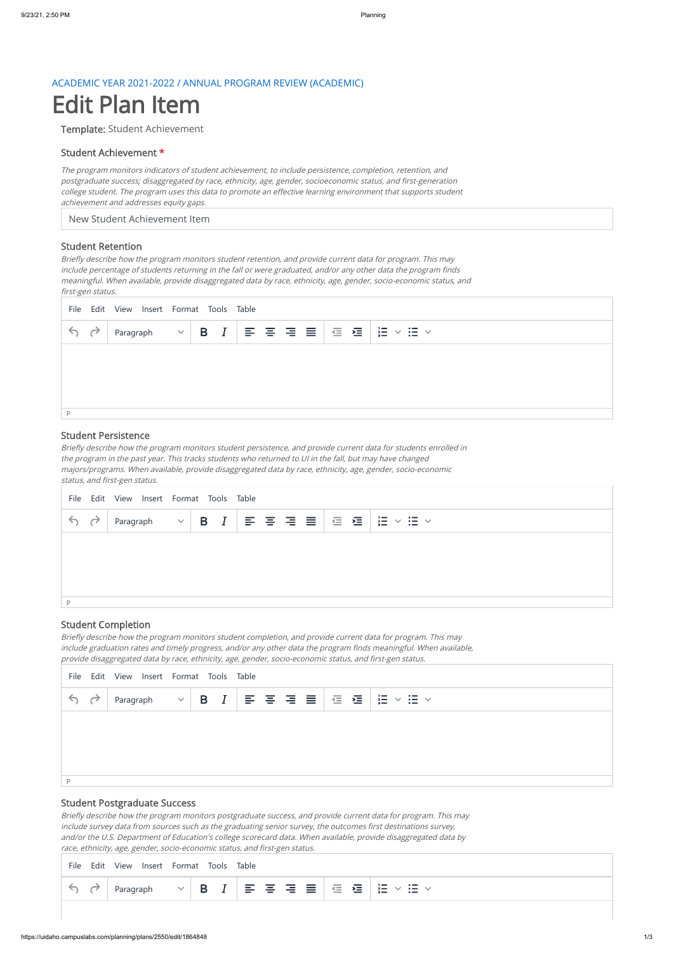#### ACADEMIC YEAR 2021-2022 / ANNUAL PROGRAM REVIEW (ACADEMIC)

# Edit Plan Item

Template: Student Achievement

#### Student Achievement \*

New Student Achievement Item

The program monitors indicators of student achievement, to include persistence, completion, retention, and postgraduate success; disaggregated by race, ethnicity, age, gender, socioeconomic status, and first-generation college student. The program uses this data to promote an effective learning environment that supports student achievement and addresses equity gaps.

#### Student Retention

Briefly describe how the program monitors student retention, and provide current data for program. This may include percentage of students returning in the fall or were graduated, and/or any other data the program finds meaningful. When available, provide disaggregated data by race, ethnicity, age, gender, socio-economic status, and first-gen status.

#### Student Persistence

Briefly describe how the program monitors student persistence, and provide current data for students enrolled in the program in the past year. This tracks students who returned to UI in the fall, but may have changed majors/programs. When available, provide disaggregated data by race, ethnicity, age, gender, socio-economic status, and first-gen status.

### Student Completion

Briefly describe how the program monitors student completion, and provide current data for program. This may include graduation rates and timely progress, and/or any other data the program finds meaningful. When available, provide disaggregated data by race, ethnicity, age, gender, socio-economic status, and first-gen status.

|     | File Edit View Insert Format Tools Table |  |  |  |  |  |  |  |  |  |                                                                                                               |  |  |
|-----|------------------------------------------|--|--|--|--|--|--|--|--|--|---------------------------------------------------------------------------------------------------------------|--|--|
| 5 d |                                          |  |  |  |  |  |  |  |  |  | Paragraph $\ \vee\ $ B $I$ $\ \equiv\equiv\equiv\equiv\equiv\equiv\equiv\equiv\equiv\equiv\equiv\equiv\cdots$ |  |  |
|     |                                          |  |  |  |  |  |  |  |  |  |                                                                                                               |  |  |
|     |                                          |  |  |  |  |  |  |  |  |  |                                                                                                               |  |  |
|     |                                          |  |  |  |  |  |  |  |  |  |                                                                                                               |  |  |
|     |                                          |  |  |  |  |  |  |  |  |  |                                                                                                               |  |  |

#### Student Postgraduate Success

|                                                                                     | File Edit View Insert Format Tools Table |  |  |  |  |  |
|-------------------------------------------------------------------------------------|------------------------------------------|--|--|--|--|--|
| $\begin{array}{c} \leftarrow & \rightarrow \\ \leftarrow & \rightarrow \end{array}$ |                                          |  |  |  |  |  |
|                                                                                     |                                          |  |  |  |  |  |
|                                                                                     |                                          |  |  |  |  |  |
|                                                                                     |                                          |  |  |  |  |  |
|                                                                                     |                                          |  |  |  |  |  |

Briefly describe how the program monitors postgraduate success, and provide current data for program. This may include survey data from sources such as the graduating senior survey, the outcomes first destinations survey, and/or the U.S. Department of Education's college scorecard data. When available, provide disaggregated data by race, ethnicity, age, gender, socio-economic status, and first-gen status.

|  | File Edit View Insert Format Tools Table |  |  |
|--|------------------------------------------|--|--|
|  |                                          |  |  |

File Edit View Insert Format Tools Table

|  |  |  | . . |  | $\equiv$<br>一 | $\equiv$ | a se estado | and the state of the state of the<br>$\sim$ | $\cdot =$ | . —<br>_<br>-- | $\cdot$ $-$<br>$\bullet$ $\bullet$ |
|--|--|--|-----|--|---------------|----------|-------------|---------------------------------------------|-----------|----------------|------------------------------------|
|--|--|--|-----|--|---------------|----------|-------------|---------------------------------------------|-----------|----------------|------------------------------------|